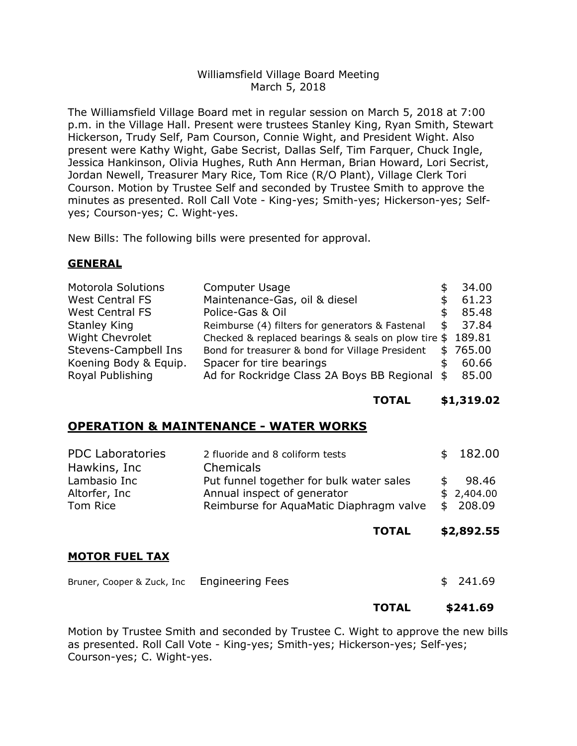## Williamsfield Village Board Meeting March 5, 2018

The Williamsfield Village Board met in regular session on March 5, 2018 at 7:00 p.m. in the Village Hall. Present were trustees Stanley King, Ryan Smith, Stewart Hickerson, Trudy Self, Pam Courson, Connie Wight, and President Wight. Also present were Kathy Wight, Gabe Secrist, Dallas Self, Tim Farquer, Chuck Ingle, Jessica Hankinson, Olivia Hughes, Ruth Ann Herman, Brian Howard, Lori Secrist, Jordan Newell, Treasurer Mary Rice, Tom Rice (R/O Plant), Village Clerk Tori Courson. Motion by Trustee Self and seconded by Trustee Smith to approve the minutes as presented. Roll Call Vote - King-yes; Smith-yes; Hickerson-yes; Selfyes; Courson-yes; C. Wight-yes.

New Bills: The following bills were presented for approval.

## **GENERAL**

| Computer Usage                                  | 34.00                                                                                                 |
|-------------------------------------------------|-------------------------------------------------------------------------------------------------------|
| Maintenance-Gas, oil & diesel                   | 61.23                                                                                                 |
| Police-Gas & Oil                                | 85.48                                                                                                 |
| Reimburse (4) filters for generators & Fastenal | \$<br>37.84                                                                                           |
|                                                 | 189.81                                                                                                |
| Bond for treasurer & bond for Village President | \$765.00                                                                                              |
| Spacer for tire bearings                        | 60.66                                                                                                 |
|                                                 | 85.00                                                                                                 |
|                                                 | Checked & replaced bearings & seals on plow tire $$$<br>Ad for Rockridge Class 2A Boys BB Regional \$ |

**TOTAL \$1,319.02**

## **OPERATION & MAINTENANCE - WATER WORKS**

| <b>PDC Laboratories</b><br>Hawkins, Inc<br>Lambasio Inc | 2 fluoride and 8 coliform tests<br>Chemicals<br>Put funnel together for bulk water sales | \$             | 182.00<br>98.46    |
|---------------------------------------------------------|------------------------------------------------------------------------------------------|----------------|--------------------|
| Altorfer, Inc<br>Tom Rice                               | Annual inspect of generator<br>Reimburse for AquaMatic Diaphragm valve                   | \$<br>\$<br>\$ | 2,404.00<br>208.09 |
|                                                         | <b>TOTAL</b>                                                                             |                | \$2,892.55         |
| <b>MOTOR FUEL TAX</b>                                   |                                                                                          |                |                    |
| Bruner, Cooper & Zuck, Inc.                             | <b>Engineering Fees</b>                                                                  |                | 241.69             |
|                                                         | <b>TOTAL</b>                                                                             |                | \$241.69           |

Motion by Trustee Smith and seconded by Trustee C. Wight to approve the new bills as presented. Roll Call Vote - King-yes; Smith-yes; Hickerson-yes; Self-yes; Courson-yes; C. Wight-yes.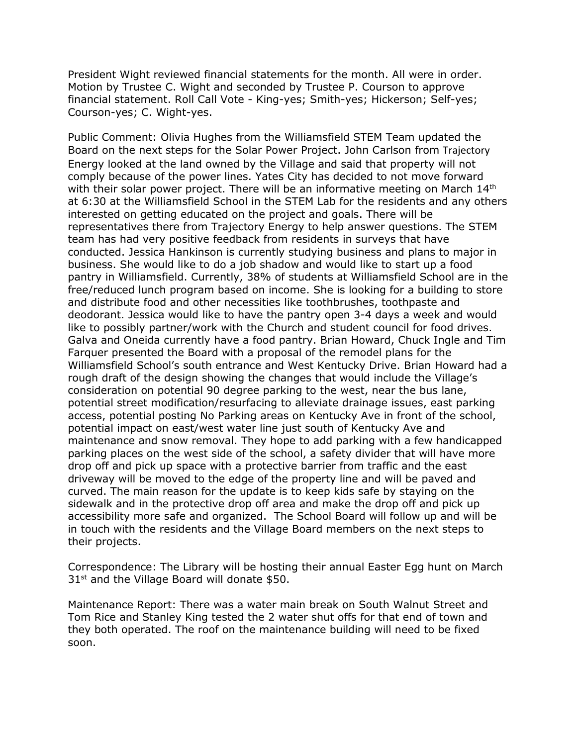President Wight reviewed financial statements for the month. All were in order. Motion by Trustee C. Wight and seconded by Trustee P. Courson to approve financial statement. Roll Call Vote - King-yes; Smith-yes; Hickerson; Self-yes; Courson-yes; C. Wight-yes.

Public Comment: Olivia Hughes from the Williamsfield STEM Team updated the Board on the next steps for the Solar Power Project. John Carlson from Trajectory Energy looked at the land owned by the Village and said that property will not comply because of the power lines. Yates City has decided to not move forward with their solar power project. There will be an informative meeting on March 14<sup>th</sup> at 6:30 at the Williamsfield School in the STEM Lab for the residents and any others interested on getting educated on the project and goals. There will be representatives there from Trajectory Energy to help answer questions. The STEM team has had very positive feedback from residents in surveys that have conducted. Jessica Hankinson is currently studying business and plans to major in business. She would like to do a job shadow and would like to start up a food pantry in Williamsfield. Currently, 38% of students at Williamsfield School are in the free/reduced lunch program based on income. She is looking for a building to store and distribute food and other necessities like toothbrushes, toothpaste and deodorant. Jessica would like to have the pantry open 3-4 days a week and would like to possibly partner/work with the Church and student council for food drives. Galva and Oneida currently have a food pantry. Brian Howard, Chuck Ingle and Tim Farquer presented the Board with a proposal of the remodel plans for the Williamsfield School's south entrance and West Kentucky Drive. Brian Howard had a rough draft of the design showing the changes that would include the Village's consideration on potential 90 degree parking to the west, near the bus lane, potential street modification/resurfacing to alleviate drainage issues, east parking access, potential posting No Parking areas on Kentucky Ave in front of the school, potential impact on east/west water line just south of Kentucky Ave and maintenance and snow removal. They hope to add parking with a few handicapped parking places on the west side of the school, a safety divider that will have more drop off and pick up space with a protective barrier from traffic and the east driveway will be moved to the edge of the property line and will be paved and curved. The main reason for the update is to keep kids safe by staying on the sidewalk and in the protective drop off area and make the drop off and pick up accessibility more safe and organized. The School Board will follow up and will be in touch with the residents and the Village Board members on the next steps to their projects.

Correspondence: The Library will be hosting their annual Easter Egg hunt on March  $31<sup>st</sup>$  and the Village Board will donate \$50.

Maintenance Report: There was a water main break on South Walnut Street and Tom Rice and Stanley King tested the 2 water shut offs for that end of town and they both operated. The roof on the maintenance building will need to be fixed soon.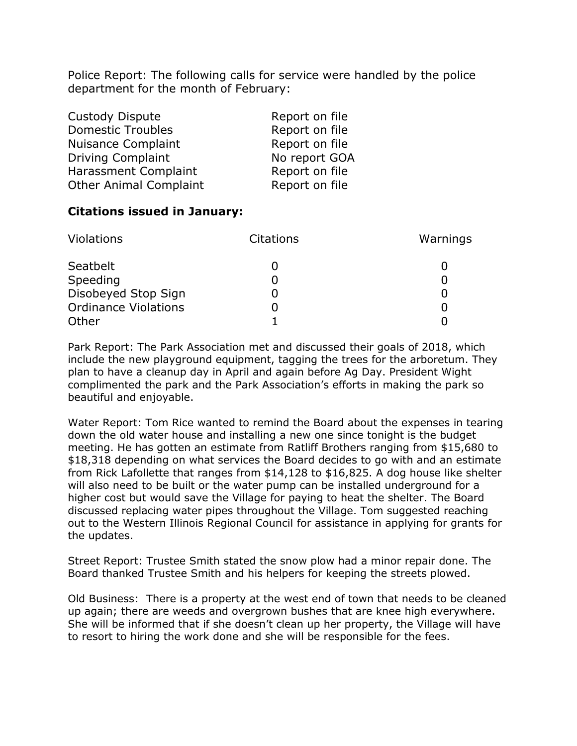Police Report: The following calls for service were handled by the police department for the month of February:

| Custody Dispute               | Report on file |
|-------------------------------|----------------|
| <b>Domestic Troubles</b>      | Report on file |
| Nuisance Complaint            | Report on file |
| <b>Driving Complaint</b>      | No report GOA  |
| Harassment Complaint          | Report on file |
| <b>Other Animal Complaint</b> | Report on file |

## **Citations issued in January:**

| <b>Violations</b>           | <b>Citations</b> | Warnings |
|-----------------------------|------------------|----------|
| Seatbelt                    |                  |          |
| Speeding                    |                  |          |
| Disobeyed Stop Sign         |                  |          |
| <b>Ordinance Violations</b> |                  |          |
| Other                       |                  |          |

Park Report: The Park Association met and discussed their goals of 2018, which include the new playground equipment, tagging the trees for the arboretum. They plan to have a cleanup day in April and again before Ag Day. President Wight complimented the park and the Park Association's efforts in making the park so beautiful and enjoyable.

Water Report: Tom Rice wanted to remind the Board about the expenses in tearing down the old water house and installing a new one since tonight is the budget meeting. He has gotten an estimate from Ratliff Brothers ranging from \$15,680 to \$18,318 depending on what services the Board decides to go with and an estimate from Rick Lafollette that ranges from \$14,128 to \$16,825. A dog house like shelter will also need to be built or the water pump can be installed underground for a higher cost but would save the Village for paying to heat the shelter. The Board discussed replacing water pipes throughout the Village. Tom suggested reaching out to the Western Illinois Regional Council for assistance in applying for grants for the updates.

Street Report: Trustee Smith stated the snow plow had a minor repair done. The Board thanked Trustee Smith and his helpers for keeping the streets plowed.

Old Business: There is a property at the west end of town that needs to be cleaned up again; there are weeds and overgrown bushes that are knee high everywhere. She will be informed that if she doesn't clean up her property, the Village will have to resort to hiring the work done and she will be responsible for the fees.